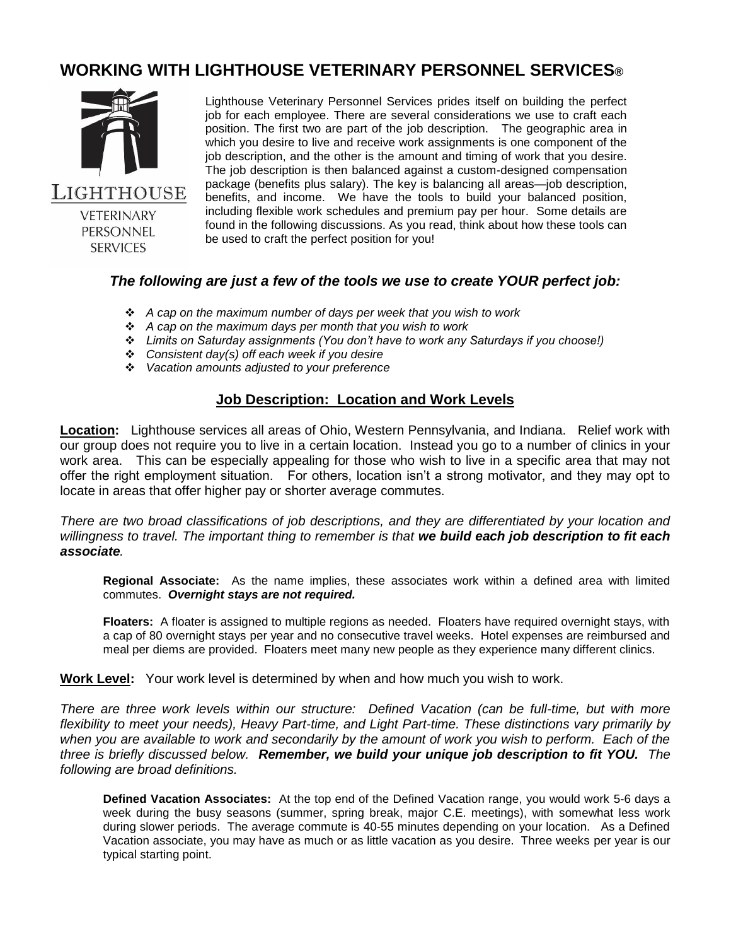# **WORKING WITH LIGHTHOUSE VETERINARY PERSONNEL SERVICES®**



**VFTFRINARY** PERSONNEL **SERVICES** 

Lighthouse Veterinary Personnel Services prides itself on building the perfect job for each employee. There are several considerations we use to craft each position. The first two are part of the job description. The geographic area in which you desire to live and receive work assignments is one component of the job description, and the other is the amount and timing of work that you desire. The job description is then balanced against a custom-designed compensation package (benefits plus salary). The key is balancing all areas—job description, benefits, and income. We have the tools to build your balanced position, including flexible work schedules and premium pay per hour. Some details are found in the following discussions. As you read, think about how these tools can be used to craft the perfect position for you!

#### *The following are just a few of the tools we use to create YOUR perfect job:*

- *A cap on the maximum number of days per week that you wish to work*
- *A cap on the maximum days per month that you wish to work*
- *Limits on Saturday assignments (You don't have to work any Saturdays if you choose!)*
- *Consistent day(s) off each week if you desire*
- *Vacation amounts adjusted to your preference*

### **Job Description: Location and Work Levels**

**Location:** Lighthouse services all areas of Ohio, Western Pennsylvania, and Indiana. Relief work with our group does not require you to live in a certain location. Instead you go to a number of clinics in your work area. This can be especially appealing for those who wish to live in a specific area that may not offer the right employment situation. For others, location isn't a strong motivator, and they may opt to locate in areas that offer higher pay or shorter average commutes.

*There are two broad classifications of job descriptions, and they are differentiated by your location and willingness to travel. The important thing to remember is that we build each job description to fit each associate.* 

**Regional Associate:** As the name implies, these associates work within a defined area with limited commutes. *Overnight stays are not required.*

**Floaters:** A floater is assigned to multiple regions as needed. Floaters have required overnight stays, with a cap of 80 overnight stays per year and no consecutive travel weeks. Hotel expenses are reimbursed and meal per diems are provided. Floaters meet many new people as they experience many different clinics.

**Work Level:** Your work level is determined by when and how much you wish to work.

*There are three work levels within our structure: Defined Vacation (can be full-time, but with more flexibility to meet your needs), Heavy Part-time, and Light Part-time. These distinctions vary primarily by when you are available to work and secondarily by the amount of work you wish to perform. Each of the three is briefly discussed below. Remember, we build your unique job description to fit YOU. The following are broad definitions.*

**Defined Vacation Associates:** At the top end of the Defined Vacation range, you would work 5-6 days a week during the busy seasons (summer, spring break, major C.E. meetings), with somewhat less work during slower periods. The average commute is 40-55 minutes depending on your location. As a Defined Vacation associate, you may have as much or as little vacation as you desire. Three weeks per year is our typical starting point.